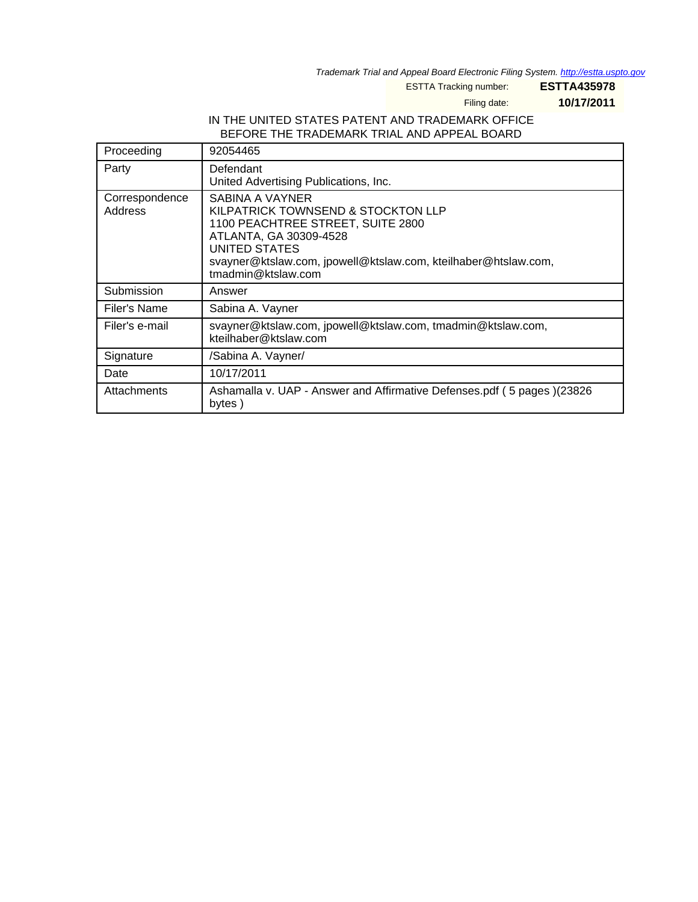Trademark Trial and Appeal Board Electronic Filing System. <http://estta.uspto.gov>

ESTTA Tracking number: **ESTTA435978**

Filing date: **10/17/2011**

#### IN THE UNITED STATES PATENT AND TRADEMARK OFFICE BEFORE THE TRADEMARK TRIAL AND APPEAL BOARD

| Proceeding                | 92054465                                                                                                                                                                                                                      |  |
|---------------------------|-------------------------------------------------------------------------------------------------------------------------------------------------------------------------------------------------------------------------------|--|
| Party                     | Defendant<br>United Advertising Publications, Inc.                                                                                                                                                                            |  |
| Correspondence<br>Address | SABINA A VAYNER<br>KILPATRICK TOWNSEND & STOCKTON LLP<br>1100 PEACHTREE STREET, SUITE 2800<br>ATLANTA, GA 30309-4528<br>UNITED STATES<br>svayner@ktslaw.com, jpowell@ktslaw.com, kteilhaber@htslaw.com,<br>tmadmin@ktslaw.com |  |
| Submission                | Answer                                                                                                                                                                                                                        |  |
| Filer's Name              | Sabina A. Vayner                                                                                                                                                                                                              |  |
| Filer's e-mail            | svayner@ktslaw.com, jpowell@ktslaw.com, tmadmin@ktslaw.com,<br>kteilhaber@ktslaw.com                                                                                                                                          |  |
| Signature                 | /Sabina A. Vayner/                                                                                                                                                                                                            |  |
| Date                      | 10/17/2011                                                                                                                                                                                                                    |  |
| Attachments               | Ashamalla v. UAP - Answer and Affirmative Defenses.pdf (5 pages)(23826<br>bytes)                                                                                                                                              |  |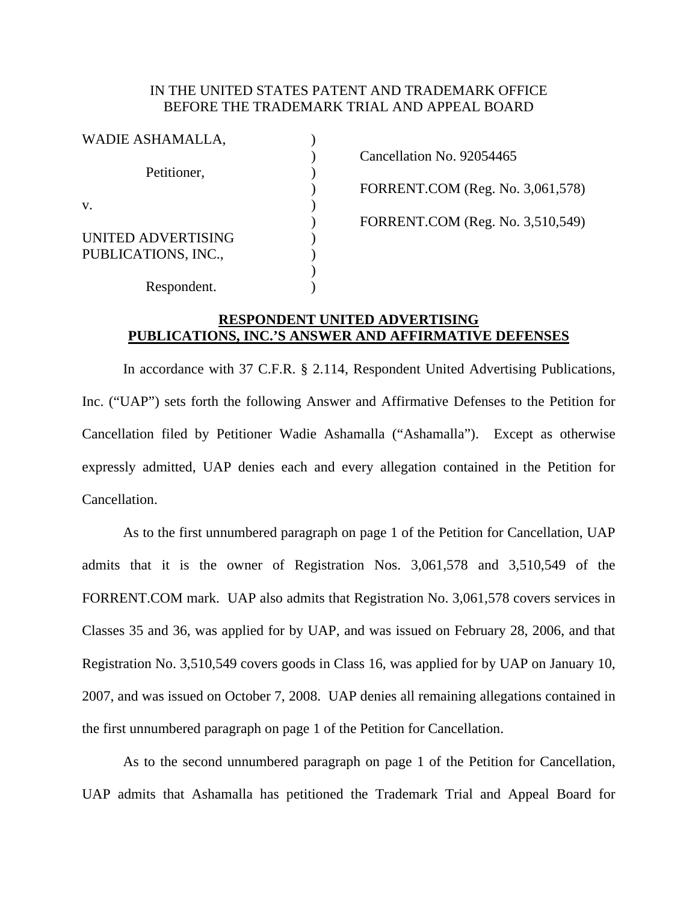### IN THE UNITED STATES PATENT AND TRADEMARK OFFICE BEFORE THE TRADEMARK TRIAL AND APPEAL BOARD

| WADIE ASHAMALLA,    |                                  |
|---------------------|----------------------------------|
|                     | Cancellation No. 92054465        |
| Petitioner,         |                                  |
|                     | FORRENT.COM (Reg. No. 3,061,578) |
| V.                  |                                  |
|                     | FORRENT.COM (Reg. No. 3,510,549) |
| UNITED ADVERTISING  |                                  |
| PUBLICATIONS, INC., |                                  |
|                     |                                  |
| Respondent.         |                                  |

# **RESPONDENT UNITED ADVERTISING PUBLICATIONS, INC.'S ANSWER AND AFFIRMATIVE DEFENSES**

 In accordance with 37 C.F.R. § 2.114, Respondent United Advertising Publications, Inc. ("UAP") sets forth the following Answer and Affirmative Defenses to the Petition for Cancellation filed by Petitioner Wadie Ashamalla ("Ashamalla"). Except as otherwise expressly admitted, UAP denies each and every allegation contained in the Petition for Cancellation.

 As to the first unnumbered paragraph on page 1 of the Petition for Cancellation, UAP admits that it is the owner of Registration Nos. 3,061,578 and 3,510,549 of the FORRENT.COM mark. UAP also admits that Registration No. 3,061,578 covers services in Classes 35 and 36, was applied for by UAP, and was issued on February 28, 2006, and that Registration No. 3,510,549 covers goods in Class 16, was applied for by UAP on January 10, 2007, and was issued on October 7, 2008. UAP denies all remaining allegations contained in the first unnumbered paragraph on page 1 of the Petition for Cancellation.

 As to the second unnumbered paragraph on page 1 of the Petition for Cancellation, UAP admits that Ashamalla has petitioned the Trademark Trial and Appeal Board for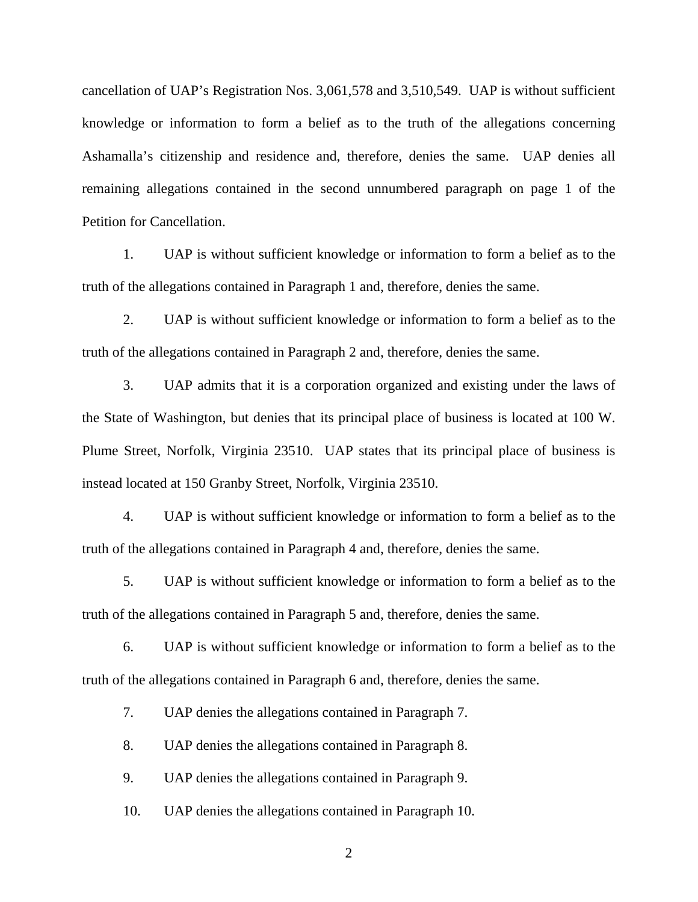cancellation of UAP's Registration Nos. 3,061,578 and 3,510,549. UAP is without sufficient knowledge or information to form a belief as to the truth of the allegations concerning Ashamalla's citizenship and residence and, therefore, denies the same. UAP denies all remaining allegations contained in the second unnumbered paragraph on page 1 of the Petition for Cancellation.

1. UAP is without sufficient knowledge or information to form a belief as to the truth of the allegations contained in Paragraph 1 and, therefore, denies the same.

2. UAP is without sufficient knowledge or information to form a belief as to the truth of the allegations contained in Paragraph 2 and, therefore, denies the same.

3. UAP admits that it is a corporation organized and existing under the laws of the State of Washington, but denies that its principal place of business is located at 100 W. Plume Street, Norfolk, Virginia 23510. UAP states that its principal place of business is instead located at 150 Granby Street, Norfolk, Virginia 23510.

4. UAP is without sufficient knowledge or information to form a belief as to the truth of the allegations contained in Paragraph 4 and, therefore, denies the same.

5. UAP is without sufficient knowledge or information to form a belief as to the truth of the allegations contained in Paragraph 5 and, therefore, denies the same.

6. UAP is without sufficient knowledge or information to form a belief as to the truth of the allegations contained in Paragraph 6 and, therefore, denies the same.

7. UAP denies the allegations contained in Paragraph 7.

8. UAP denies the allegations contained in Paragraph 8.

9. UAP denies the allegations contained in Paragraph 9.

10. UAP denies the allegations contained in Paragraph 10.

2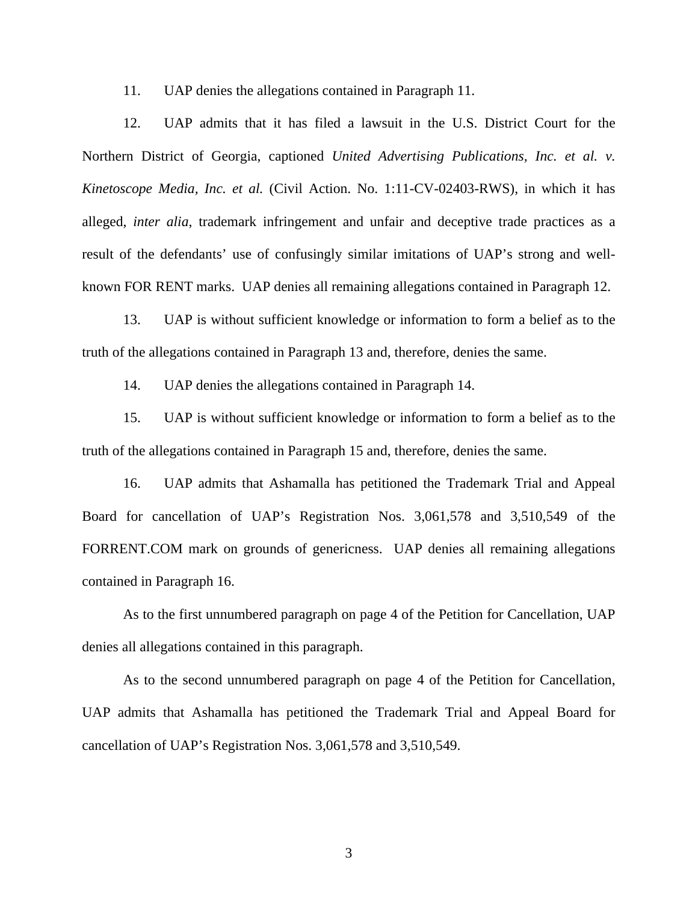11. UAP denies the allegations contained in Paragraph 11.

12. UAP admits that it has filed a lawsuit in the U.S. District Court for the Northern District of Georgia, captioned *United Advertising Publications, Inc. et al. v. Kinetoscope Media, Inc. et al.* (Civil Action. No. 1:11-CV-02403-RWS), in which it has alleged, *inter alia*, trademark infringement and unfair and deceptive trade practices as a result of the defendants' use of confusingly similar imitations of UAP's strong and wellknown FOR RENT marks. UAP denies all remaining allegations contained in Paragraph 12.

13. UAP is without sufficient knowledge or information to form a belief as to the truth of the allegations contained in Paragraph 13 and, therefore, denies the same.

14. UAP denies the allegations contained in Paragraph 14.

15. UAP is without sufficient knowledge or information to form a belief as to the truth of the allegations contained in Paragraph 15 and, therefore, denies the same.

16. UAP admits that Ashamalla has petitioned the Trademark Trial and Appeal Board for cancellation of UAP's Registration Nos. 3,061,578 and 3,510,549 of the FORRENT.COM mark on grounds of genericness. UAP denies all remaining allegations contained in Paragraph 16.

 As to the first unnumbered paragraph on page 4 of the Petition for Cancellation, UAP denies all allegations contained in this paragraph.

 As to the second unnumbered paragraph on page 4 of the Petition for Cancellation, UAP admits that Ashamalla has petitioned the Trademark Trial and Appeal Board for cancellation of UAP's Registration Nos. 3,061,578 and 3,510,549.

3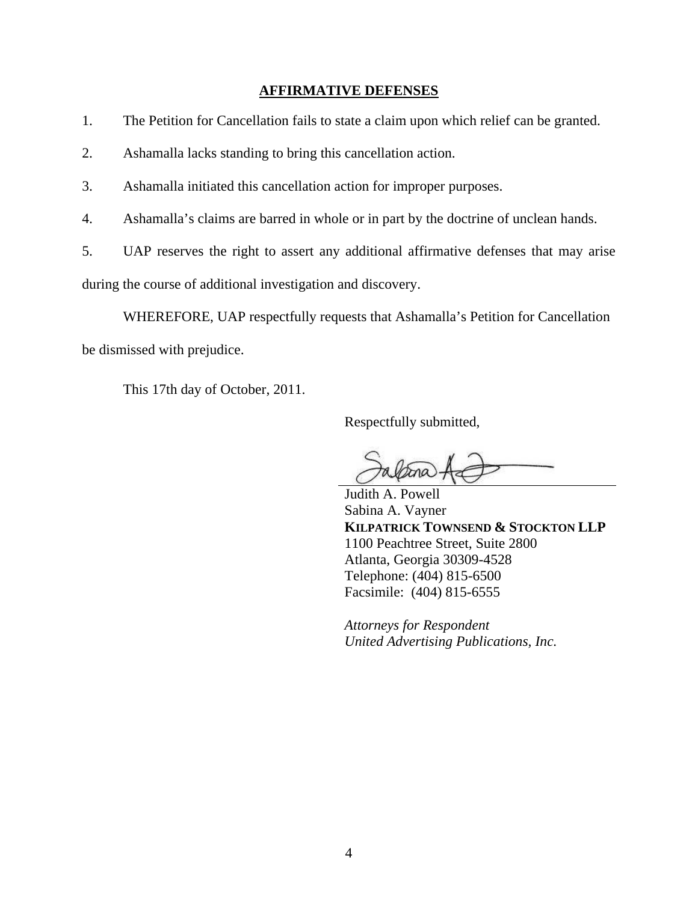### **AFFIRMATIVE DEFENSES**

- 1. The Petition for Cancellation fails to state a claim upon which relief can be granted.
- 2. Ashamalla lacks standing to bring this cancellation action.
- 3. Ashamalla initiated this cancellation action for improper purposes.
- 4. Ashamalla's claims are barred in whole or in part by the doctrine of unclean hands.
- 5. UAP reserves the right to assert any additional affirmative defenses that may arise

during the course of additional investigation and discovery.

WHEREFORE, UAP respectfully requests that Ashamalla's Petition for Cancellation

be dismissed with prejudice.

This 17th day of October, 2011.

Respectfully submitted,

 $\overline{a}$ 

Judith A. Powell Sabina A. Vayner **KILPATRICK TOWNSEND & STOCKTON LLP**  1100 Peachtree Street, Suite 2800 Atlanta, Georgia 30309-4528 Telephone: (404) 815-6500 Facsimile: (404) 815-6555

*Attorneys for Respondent United Advertising Publications, Inc.*